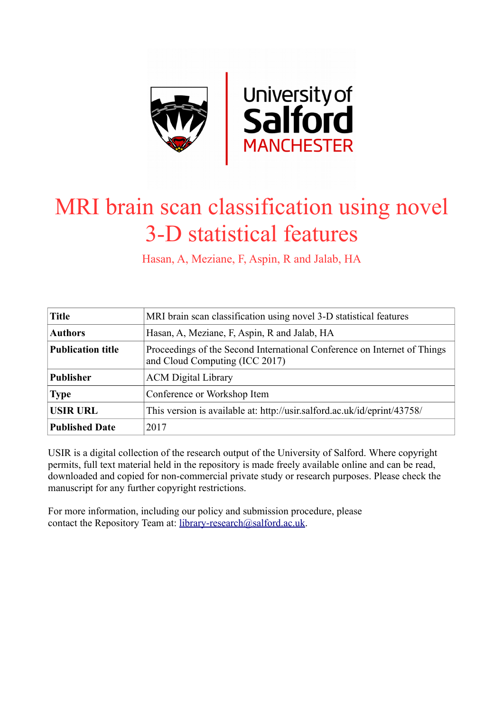

# MRI brain scan classification using novel 3-D statistical features

Hasan, A, Meziane, F, Aspin, R and Jalab, HA

| <b>Title</b>             | MRI brain scan classification using novel 3-D statistical features                                         |  |  |  |  |
|--------------------------|------------------------------------------------------------------------------------------------------------|--|--|--|--|
| <b>Authors</b>           | Hasan, A, Meziane, F, Aspin, R and Jalab, HA                                                               |  |  |  |  |
| <b>Publication title</b> | Proceedings of the Second International Conference on Internet of Things<br>and Cloud Computing (ICC 2017) |  |  |  |  |
| <b>Publisher</b>         | <b>ACM</b> Digital Library                                                                                 |  |  |  |  |
| <b>Type</b>              | Conference or Workshop Item                                                                                |  |  |  |  |
| <b>USIR URL</b>          | This version is available at: http://usir.salford.ac.uk/id/eprint/43758/                                   |  |  |  |  |
| <b>Published Date</b>    | 2017                                                                                                       |  |  |  |  |

USIR is a digital collection of the research output of the University of Salford. Where copyright permits, full text material held in the repository is made freely available online and can be read, downloaded and copied for non-commercial private study or research purposes. Please check the manuscript for any further copyright restrictions.

For more information, including our policy and submission procedure, please contact the Repository Team at: [library-research@salford.ac.uk.](mailto:library-research@salford.ac.uk)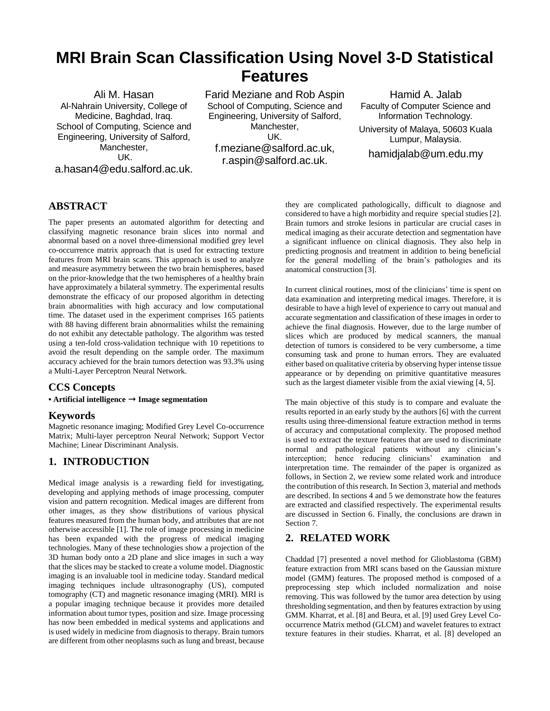# **MRI Brain Scan Classification Using Novel 3-D Statistical Features**

Ali M. Hasan Al-Nahrain University, College of Medicine, Baghdad, Iraq. School of Computing, Science and Engineering, University of Salford, Manchester, UK. a.hasan4@edu.salford.ac.uk. Farid Meziane and Rob Aspin School of Computing, Science and Engineering, University of Salford, Manchester, UK. f.meziane@salford.ac.uk, r.aspin@salford.ac.uk.

Hamid A. Jalab Faculty of Computer Science and Information Technology. University of Malaya, 50603 Kuala Lumpur, Malaysia. hamidjalab@um.edu.my

# **ABSTRACT**

The paper presents an automated algorithm for detecting and classifying magnetic resonance brain slices into normal and abnormal based on a novel three-dimensional modified grey level co-occurrence matrix approach that is used for extracting texture features from MRI brain scans. This approach is used to analyze and measure asymmetry between the two brain hemispheres, based on the prior-knowledge that the two hemispheres of a healthy brain have approximately a bilateral symmetry. The experimental results demonstrate the efficacy of our proposed algorithm in detecting brain abnormalities with high accuracy and low computational time. The dataset used in the experiment comprises 165 patients with 88 having different brain abnormalities whilst the remaining do not exhibit any detectable pathology. The algorithm was tested using a ten-fold cross-validation technique with 10 repetitions to avoid the result depending on the sample order. The maximum accuracy achieved for the brain tumors detection was 93.3% using a Multi-Layer Perceptron Neural Network.

# **CCS Concepts**

**• Artificial intelligence** ➝ **Image segmentation**

# **Keywords**

Magnetic resonance imaging; Modified Grey Level Co-occurrence Matrix; Multi-layer perceptron Neural Network; Support Vector Machine; Linear Discriminant Analysis.

# **1. INTRODUCTION**

Medical image analysis is a rewarding field for investigating, developing and applying methods of image processing, computer vision and pattern recognition. Medical images are different from other images, as they show distributions of various physical features measured from the human body, and attributes that are not otherwise accessible [\[1\]](#page-5-0). The role of image processing in medicine has been expanded with the progress of medical imaging technologies. Many of these technologies show a projection of the 3D human body onto a 2D plane and slice images in such a way that the slices may be stacked to create a volume model. Diagnostic imaging is an invaluable tool in medicine today. Standard medical imaging techniques include ultrasonography (US), computed tomography (CT) and magnetic resonance imaging (MRI). MRI is a popular imaging technique because it provides more detailed information about tumor types, position and size. Image processing has now been embedded in medical systems and applications and is used widely in medicine from diagnosis to therapy. Brain tumors are different from other neoplasms such as lung and breast, because

they are complicated pathologically, difficult to diagnose and considered to have a high morbidity and require special studies [\[2\]](#page-5-1). Brain tumors and stroke lesions in particular are crucial cases in medical imaging as their accurate detection and segmentation have a significant influence on clinical diagnosis. They also help in predicting prognosis and treatment in addition to being beneficial for the general modelling of the brain's pathologies and its anatomical construction [\[3\]](#page-5-2).

In current clinical routines, most of the clinicians' time is spent on data examination and interpreting medical images. Therefore, it is desirable to have a high level of experience to carry out manual and accurate segmentation and classification of these images in order to achieve the final diagnosis. However, due to the large number of slices which are produced by medical scanners, the manual detection of tumors is considered to be very cumbersome, a time consuming task and prone to human errors. They are evaluated either based on qualitative criteria by observing hyper intense tissue appearance or by depending on primitive quantitative measures such as the largest diameter visible from the axial viewing [\[4,](#page-5-3) [5\]](#page-5-4).

The main objective of this study is to compare and evaluate the results reported in an early study by the authors [\[6\]](#page-6-0) with the current results using three-dimensional feature extraction method in terms of accuracy and computational complexity. The proposed method is used to extract the texture features that are used to discriminate normal and pathological patients without any clinician's interception; hence reducing clinicians' examination and interpretation time. The remainder of the paper is organized as follows, in Section 2, we review some related work and introduce the contribution of this research. In Section 3, material and methods are described. In sections 4 and 5 we demonstrate how the features are extracted and classified respectively. The experimental results are discussed in Section 6. Finally, the conclusions are drawn in Section 7.

# **2. RELATED WORK**

[Chaddad \[7\]](#page-6-1) presented a novel method for Glioblastoma (GBM) feature extraction from MRI scans based on the Gaussian mixture model (GMM) features. The proposed method is composed of a preprocessing step which included normalization and noise removing. This was followed by the tumor area detection by using thresholding segmentation, and then by features extraction by using GMM. [Kharrat, et al. \[8\]](#page-6-2) an[d Beura, et al. \[9\]](#page-6-3) used Grey Level Cooccurrence Matrix method (GLCM) and wavelet features to extract texture features in their studies. [Kharrat, et al. \[8\]](#page-6-2) developed an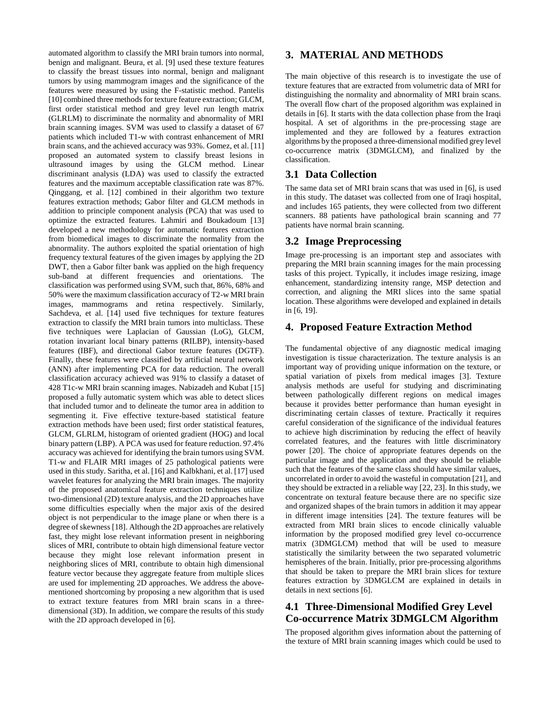automated algorithm to classify the MRI brain tumors into normal, benign and malignant. [Beura, et al. \[9\]](#page-6-3) used these texture features to classify the breast tissues into normal, benign and malignant tumors by using mammogram images and the significance of the features were measured by using the F-statistic method. [Pantelis](#page-6-4)  [\[10\]](#page-6-4) combined three methods for texture feature extraction; GLCM, first order statistical method and grey level run length matrix (GLRLM) to discriminate the normality and abnormality of MRI brain scanning images. SVM was used to classify a dataset of 67 patients which included T1-w with contrast enhancement of MRI brain scans, and the achieved accuracy was 93%[. Gomez, et al. \[11\]](#page-6-5) proposed an automated system to classify breast lesions in ultrasound images by using the GLCM method. Linear discriminant analysis (LDA) was used to classify the extracted features and the maximum acceptable classification rate was 87%. [Qinggang, et al. \[12\]](#page-6-6) combined in their algorithm two texture features extraction methods; Gabor filter and GLCM methods in addition to principle component analysis (PCA) that was used to optimize the extracted features. [Lahmiri and Boukadoum \[13\]](#page-6-7) developed a new methodology for automatic features extraction from biomedical images to discriminate the normality from the abnormality. The authors exploited the spatial orientation of high frequency textural features of the given images by applying the 2D DWT, then a Gabor filter bank was applied on the high frequency sub-band at different frequencies and orientations. The classification was performed using SVM, such that, 86%, 68% and 50% were the maximum classification accuracy of T2-w MRI brain images, mammograms and retina respectively. Similarly, [Sachdeva, et al. \[14\]](#page-6-8) used five techniques for texture features extraction to classify the MRI brain tumors into multiclass. These five techniques were Laplacian of Gaussian (LoG), GLCM, rotation invariant local binary patterns (RILBP), intensity-based features (IBF), and directional Gabor texture features (DGTF). Finally, these features were classified by artificial neural network (ANN) after implementing PCA for data reduction. The overall classification accuracy achieved was 91% to classify a dataset of 428 T1c-w MRI brain scanning images. [Nabizadeh and Kubat \[15\]](#page-6-9) proposed a fully automatic system which was able to detect slices that included tumor and to delineate the tumor area in addition to segmenting it. Five effective texture-based statistical feature extraction methods have been used; first order statistical features, GLCM, GLRLM, histogram of oriented gradient (HOG) and local binary pattern (LBP). A PCA was used for feature reduction. 97.4% accuracy was achieved for identifying the brain tumors using SVM. T1-w and FLAIR MRI images of 25 pathological patients were used in this study. [Saritha, et al. \[16\]](#page-6-10) and [Kalbkhani, et al. \[17\]](#page-6-11) used wavelet features for analyzing the MRI brain images. The majority of the proposed anatomical feature extraction techniques utilize two-dimensional (2D) texture analysis, and the 2D approaches have some difficulties especially when the major axis of the desired object is not perpendicular to the image plane or when there is a degree of skewness [\[18\]](#page-6-12). Although the 2D approaches are relatively fast, they might lose relevant information present in neighboring slices of MRI, contribute to obtain high dimensional feature vector because they might lose relevant information present in neighboring slices of MRI, contribute to obtain high dimensional feature vector because they aggregate feature from multiple slices are used for implementing 2D approaches. We address the abovementioned shortcoming by proposing a new algorithm that is used to extract texture features from MRI brain scans in a threedimensional (3D). In addition, we compare the results of this study with the 2D approach developed in [\[6\]](#page-6-0).

# **3. MATERIAL AND METHODS**

The main objective of this research is to investigate the use of texture features that are extracted from volumetric data of MRI for distinguishing the normality and abnormality of MRI brain scans. The overall flow chart of the proposed algorithm was explained in details in [\[6\]](#page-6-0). It starts with the data collection phase from the Iraqi hospital. A set of algorithms in the pre-processing stage are implemented and they are followed by a features extraction algorithms by the proposed a three-dimensional modified grey level co-occurrence matrix (3DMGLCM), and finalized by the classification.

# **3.1 Data Collection**

The same data set of MRI brain scans that was used in [\[6\]](#page-6-0), is used in this study. The dataset was collected from one of Iraqi hospital, and includes 165 patients, they were collected from two different scanners. 88 patients have pathological brain scanning and 77 patients have normal brain scanning.

# **3.2 Image Preprocessing**

Image pre-processing is an important step and associates with preparing the MRI brain scanning images for the main processing tasks of this project. Typically, it includes image resizing, image enhancement, standardizing intensity range, MSP detection and correction, and aligning the MRI slices into the same spatial location. These algorithms were developed and explained in details in [\[6,](#page-6-0) [19\]](#page-6-13).

# **4. Proposed Feature Extraction Method**

The fundamental objective of any diagnostic medical imaging investigation is tissue characterization. The texture analysis is an important way of providing unique information on the texture, or spatial variation of pixels from medical images [\[3\]](#page-5-2). Texture analysis methods are useful for studying and discriminating between pathologically different regions on medical images because it provides better performance than human eyesight in discriminating certain classes of texture. Practically it requires careful consideration of the significance of the individual features to achieve high discrimination by reducing the effect of heavily correlated features, and the features with little discriminatory power [\[20\]](#page-6-14). The choice of appropriate features depends on the particular image and the application and they should be reliable such that the features of the same class should have similar values, uncorrelated in order to avoid the wasteful in computation [\[21\]](#page-6-15), and they should be extracted in a reliable way [\[22,](#page-6-16) [23\]](#page-6-17). In this study, we concentrate on textural feature because there are no specific size and organized shapes of the brain tumors in addition it may appear in different image intensities [\[24\]](#page-6-18). The texture features will be extracted from MRI brain slices to encode clinically valuable information by the proposed modified grey level co-occurrence matrix (3DMGLCM) method that will be used to measure statistically the similarity between the two separated volumetric hemispheres of the brain. Initially, prior pre-processing algorithms that should be taken to prepare the MRI brain slices for texture features extraction by 3DMGLCM are explained in details in details in next sections [\[6\]](#page-6-0).

# **4.1 Three-Dimensional Modified Grey Level Co-occurrence Matrix 3DMGLCM Algorithm**

The proposed algorithm gives information about the patterning of the texture of MRI brain scanning images which could be used to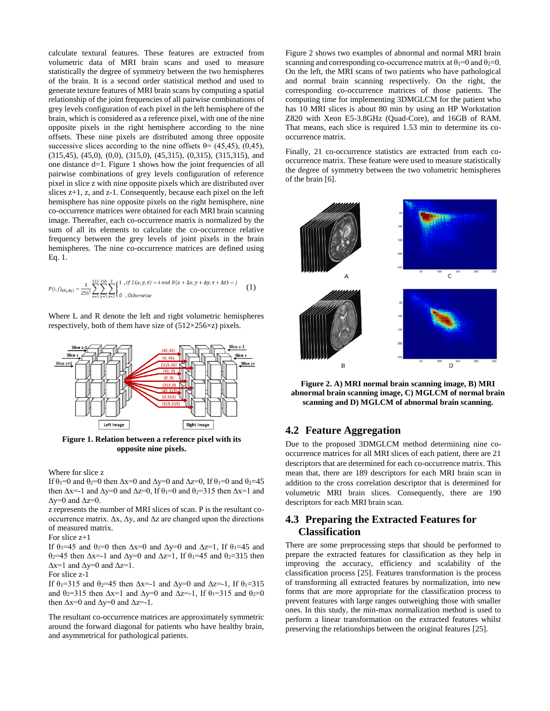calculate textural features. These features are extracted from volumetric data of MRI brain scans and used to measure statistically the degree of symmetry between the two hemispheres of the brain. It is a second order statistical method and used to generate texture features of MRI brain scans by computing a spatial relationship of the joint frequencies of all pairwise combinations of grey levels configuration of each pixel in the left hemisphere of the brain, which is considered as a reference pixel, with one of the nine opposite pixels in the right hemisphere according to the nine offsets. These nine pixels are distributed among three opposite successive slices according to the nine offsets  $\theta$ = (45,45), (0,45), (315,45), (45,0), (0,0), (315,0), (45,315), (0,315), (315,315), and one distance d=1. Figure 1 shows how the joint frequencies of all pairwise combinations of grey levels configuration of reference pixel in slice z with nine opposite pixels which are distributed over slices z+1, z, and z-1. Consequently, because each pixel on the left hemisphere has nine opposite pixels on the right hemisphere, nine co-occurrence matrices were obtained for each MRI brain scanning image. Thereafter, each co-occurrence matrix is normalized by the sum of all its elements to calculate the co-occurrence relative frequency between the grey levels of joint pixels in the brain hemispheres. The nine co-occurrence matrices are defined using Eq. 1.

$$
P(i,j)_{(\theta_1,\theta_2)} = \frac{1}{256^2} \sum_{x=1}^{512} \sum_{y=1}^{256} \sum_{z=1}^{z} \begin{cases} 1, & \text{if } L(x,y,z) = i \text{ and } R(x + \Delta x, y + \Delta y, z + \Delta z) = j \\ 0, & \text{otherwise} \end{cases}
$$
 (1)

Where L and R denote the left and right volumetric hemispheres respectively, both of them have size of (512×256×z) pixels.



**Figure 1. Relation between a reference pixel with its opposite nine pixels.**

Where for slice z

If  $\theta_1=0$  and  $\theta_2=0$  then  $\Delta x=0$  and  $\Delta y=0$  and  $\Delta z=0$ , If  $\theta_1=0$  and  $\theta_2=45$ then  $\Delta x=1$  and  $\Delta y=0$  and  $\Delta z=0$ , If  $\theta_1=0$  and  $\theta_2=315$  then  $\Delta x=1$  and  $\Delta y=0$  and  $\Delta z=0$ .

z represents the number of MRI slices of scan. P is the resultant cooccurrence matrix. ∆x, ∆y, and ∆z are changed upon the directions of measured matrix.

For slice z+1

If  $\theta_1$ =45 and  $\theta_2$ =0 then  $\Delta x=0$  and  $\Delta y=0$  and  $\Delta z=1$ , If  $\theta_1=45$  and θ<sub>2</sub>=45 then  $Δx=1$  and  $Δy=0$  and  $Δz=1$ , If  $θ_1=45$  and  $θ_2=315$  then  $\Delta x=1$  and  $\Delta y=0$  and  $\Delta z=1$ .

For slice z-1

If  $\theta_1$ =315 and  $\theta_2$ =45 then  $\Delta x$ =-1 and  $\Delta y$ =0 and  $\Delta z$ =-1, If  $\theta_1$ =315 and  $\theta_2$ =315 then  $\Delta x=1$  and  $\Delta y=0$  and  $\Delta z=1$ , If  $\theta_1=315$  and  $\theta_2=0$ then  $\Delta x=0$  and  $\Delta y=0$  and  $\Delta z=-1$ .

The resultant co-occurrence matrices are approximately symmetric around the forward diagonal for patients who have healthy brain, and asymmetrical for pathological patients.

Figure 2 shows two examples of abnormal and normal MRI brain scanning and corresponding co-occurrence matrix at  $\theta_1=0$  and  $\theta_2=0$ . On the left, the MRI scans of two patients who have pathological and normal brain scanning respectively. On the right, the corresponding co-occurrence matrices of those patients. The computing time for implementing 3DMGLCM for the patient who has 10 MRI slices is about 80 min by using an HP Workstation Z820 with Xeon E5-3.8GHz (Quad-Core), and 16GB of RAM. That means, each slice is required 1.53 min to determine its cooccurrence matrix.

Finally, 21 co-occurrence statistics are extracted from each cooccurrence matrix. These feature were used to measure statistically the degree of symmetry between the two volumetric hemispheres of the brain [\[6\]](#page-6-0).



**Figure 2. A) MRI normal brain scanning image, B) MRI abnormal brain scanning image, C) MGLCM of normal brain scanning and D) MGLCM of abnormal brain scanning.**

#### **4.2 Feature Aggregation**

Due to the proposed 3DMGLCM method determining nine cooccurrence matrices for all MRI slices of each patient, there are 21 descriptors that are determined for each co-occurrence matrix. This mean that, there are 189 descriptors for each MRI brain scan in addition to the cross correlation descriptor that is determined for volumetric MRI brain slices. Consequently, there are 190 descriptors for each MRI brain scan.

### **4.3 Preparing the Extracted Features for Classification**

There are some preprocessing steps that should be performed to prepare the extracted features for classification as they help in improving the accuracy, efficiency and scalability of the classification process [\[25\]](#page-6-19). Features transformation is the process of transforming all extracted features by normalization, into new forms that are more appropriate for the classification process to prevent features with large ranges outweighing those with smaller ones. In this study, the min-max normalization method is used to perform a linear transformation on the extracted features whilst preserving the relationships between the original features [\[25\]](#page-6-19).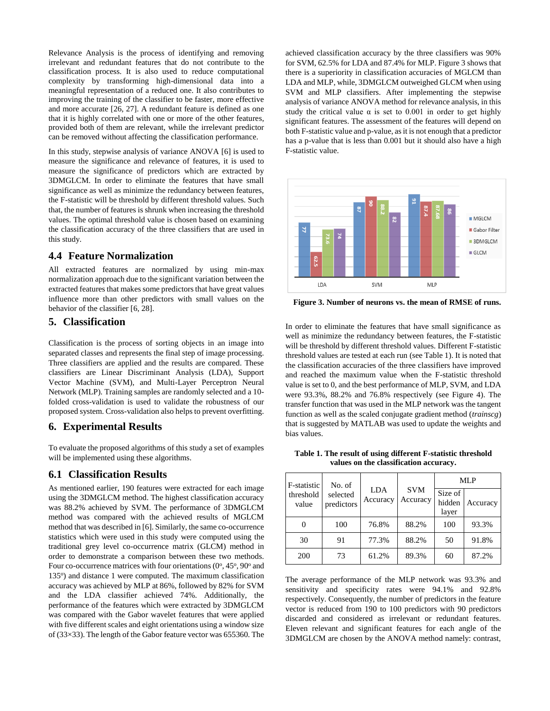Relevance Analysis is the process of identifying and removing irrelevant and redundant features that do not contribute to the classification process. It is also used to reduce computational complexity by transforming high-dimensional data into a meaningful representation of a reduced one. It also contributes to improving the training of the classifier to be faster, more effective and more accurate [\[26,](#page-6-20) [27\]](#page-6-21). A redundant feature is defined as one that it is highly correlated with one or more of the other features, provided both of them are relevant, while the irrelevant predictor can be removed without affecting the classification performance.

In this study, stepwise analysis of variance ANOVA [\[6\]](#page-6-0) is used to measure the significance and relevance of features, it is used to measure the significance of predictors which are extracted by 3DMGLCM. In order to eliminate the features that have small significance as well as minimize the redundancy between features, the F-statistic will be threshold by different threshold values. Such that, the number of features is shrunk when increasing the threshold values. The optimal threshold value is chosen based on examining the classification accuracy of the three classifiers that are used in this study.

#### **4.4 Feature Normalization**

All extracted features are normalized by using min-max normalization approach due to the significant variation between the extracted features that makes some predictors that have great values influence more than other predictors with small values on the behavior of the classifier [\[6,](#page-6-0) [28\]](#page-6-22).

#### **5. Classification**

Classification is the process of sorting objects in an image into separated classes and represents the final step of image processing. Three classifiers are applied and the results are compared. These classifiers are Linear Discriminant Analysis (LDA), Support Vector Machine (SVM), and Multi-Layer Perceptron Neural Network (MLP). Training samples are randomly selected and a 10 folded cross-validation is used to validate the robustness of our proposed system. Cross-validation also helps to prevent overfitting.

#### **6. Experimental Results**

To evaluate the proposed algorithms of this study a set of examples will be implemented using these algorithms.

#### **6.1 Classification Results**

As mentioned earlier, 190 features were extracted for each image using the 3DMGLCM method. The highest classification accuracy was 88.2% achieved by SVM. The performance of 3DMGLCM method was compared with the achieved results of MGLCM method that was described in [\[6\]](#page-6-0). Similarly, the same co-occurrence statistics which were used in this study were computed using the traditional grey level co-occurrence matrix (GLCM) method in order to demonstrate a comparison between these two methods. Four co-occurrence matrices with four orientations  $(0^{\circ}, 45^{\circ}, 90^{\circ})$  and 135°) and distance 1 were computed. The maximum classification accuracy was achieved by MLP at 86%, followed by 82% for SVM and the LDA classifier achieved 74%. Additionally, the performance of the features which were extracted by 3DMGLCM was compared with the Gabor wavelet features that were applied with five different scales and eight orientations using a window size of (33×33). The length of the Gabor feature vector was 655360. The

achieved classification accuracy by the three classifiers was 90% for SVM, 62.5% for LDA and 87.4% for MLP. Figure 3 shows that there is a superiority in classification accuracies of MGLCM than LDA and MLP, while, 3DMGLCM outweighed GLCM when using SVM and MLP classifiers. After implementing the stepwise analysis of variance ANOVA method for relevance analysis, in this study the critical value  $\alpha$  is set to 0.001 in order to get highly significant features. The assessment of the features will depend on both F-statistic value and p-value, as it is not enough that a predictor has a p-value that is less than 0.001 but it should also have a high F-statistic value.



**Figure 3. Number of neurons vs. the mean of RMSE of runs.**

In order to eliminate the features that have small significance as well as minimize the redundancy between features, the F-statistic will be threshold by different threshold values. Different F-statistic threshold values are tested at each run (see Table 1). It is noted that the classification accuracies of the three classifiers have improved and reached the maximum value when the F-statistic threshold value is set to 0, and the best performance of MLP, SVM, and LDA were 93.3%, 88.2% and 76.8% respectively (see Figure 4). The transfer function that was used in the MLP network was the tangent function as well as the scaled conjugate gradient method (*trainscg*) that is suggested by MATLAB was used to update the weights and bias values.

**Table 1. The result of using different F-statistic threshold values on the classification accuracy.**

| F-statistic<br>threshold<br>value | No. of<br>selected<br>predictors | <b>LDA</b><br>Accuracy | <b>SVM</b><br>Accuracy | MLP                        |          |
|-----------------------------------|----------------------------------|------------------------|------------------------|----------------------------|----------|
|                                   |                                  |                        |                        | Size of<br>hidden<br>layer | Accuracy |
| $\theta$                          | 100                              | 76.8%                  | 88.2%                  | 100                        | 93.3%    |
| 30                                | 91                               | 77.3%                  | 88.2%                  | 50                         | 91.8%    |
| 200                               | 73                               | 61.2%                  | 89.3%                  | 60                         | 87.2%    |

The average performance of the MLP network was 93.3% and sensitivity and specificity rates were 94.1% and 92.8% respectively. Consequently, the number of predictors in the feature vector is reduced from 190 to 100 predictors with 90 predictors discarded and considered as irrelevant or redundant features. Eleven relevant and significant features for each angle of the 3DMGLCM are chosen by the ANOVA method namely: contrast,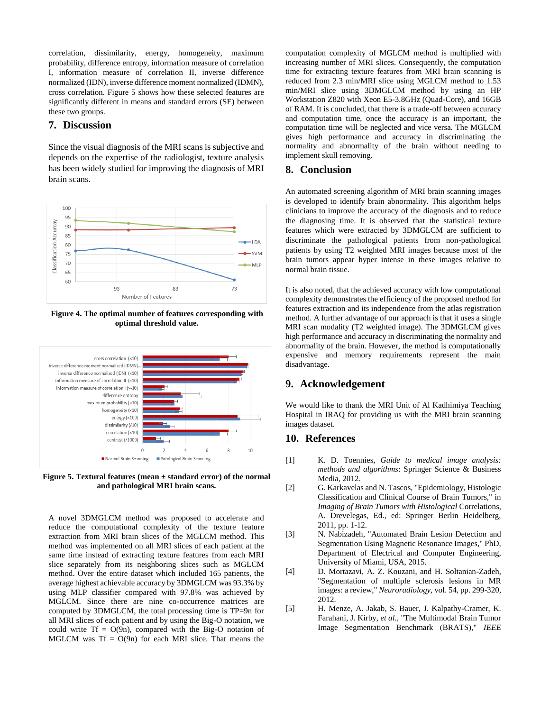correlation, dissimilarity, energy, homogeneity, maximum probability, difference entropy, information measure of correlation I, information measure of correlation II, inverse difference normalized (IDN), inverse difference moment normalized (IDMN), cross correlation. Figure 5 shows how these selected features are significantly different in means and standard errors (SE) between these two groups.

# **7. Discussion**

Since the visual diagnosis of the MRI scans is subjective and depends on the expertise of the radiologist, texture analysis has been widely studied for improving the diagnosis of MRI brain scans.



**Figure 4. The optimal number of features corresponding with optimal threshold value.**



**Figure 5. Textural features (mean ± standard error) of the normal and pathological MRI brain scans.**

A novel 3DMGLCM method was proposed to accelerate and reduce the computational complexity of the texture feature extraction from MRI brain slices of the MGLCM method. This method was implemented on all MRI slices of each patient at the same time instead of extracting texture features from each MRI slice separately from its neighboring slices such as MGLCM method. Over the entire dataset which included 165 patients, the average highest achievable accuracy by 3DMGLCM was 93.3% by using MLP classifier compared with 97.8% was achieved by MGLCM. Since there are nine co-occurrence matrices are computed by 3DMGLCM, the total processing time is TP=9n for all MRI slices of each patient and by using the Big-O notation, we could write  $Tf = O(9n)$ , compared with the Big-O notation of MGLCM was  $Tf = O(9n)$  for each MRI slice. That means the

computation complexity of MGLCM method is multiplied with increasing number of MRI slices. Consequently, the computation time for extracting texture features from MRI brain scanning is reduced from 2.3 min/MRI slice using MGLCM method to 1.53 min/MRI slice using 3DMGLCM method by using an HP Workstation Z820 with Xeon E5-3.8GHz (Quad-Core), and 16GB of RAM. It is concluded, that there is a trade-off between accuracy and computation time, once the accuracy is an important, the computation time will be neglected and vice versa. The MGLCM gives high performance and accuracy in discriminating the normality and abnormality of the brain without needing to implement skull removing.

#### **8. Conclusion**

An automated screening algorithm of MRI brain scanning images is developed to identify brain abnormality. This algorithm helps clinicians to improve the accuracy of the diagnosis and to reduce the diagnosing time. It is observed that the statistical texture features which were extracted by 3DMGLCM are sufficient to discriminate the pathological patients from non-pathological patients by using T2 weighted MRI images because most of the brain tumors appear hyper intense in these images relative to normal brain tissue.

It is also noted, that the achieved accuracy with low computational complexity demonstrates the efficiency of the proposed method for features extraction and its independence from the atlas registration method. A further advantage of our approach is that it uses a single MRI scan modality (T2 weighted image). The 3DMGLCM gives high performance and accuracy in discriminating the normality and abnormality of the brain. However, the method is computationally expensive and memory requirements represent the main disadvantage.

#### **9. Acknowledgement**

We would like to thank the MRI Unit of Al Kadhimiya Teaching Hospital in IRAQ for providing us with the MRI brain scanning images dataset.

#### **10. References**

- <span id="page-5-0"></span>[1] K. D. Toennies, *Guide to medical image analysis: methods and algorithms*: Springer Science & Business Media, 2012.
- <span id="page-5-1"></span>[2] G. Karkavelas and N. Tascos, "Epidemiology, Histologic Classification and Clinical Course of Brain Tumors," in *Imaging of Brain Tumors with Histological* Correlations, A. Drevelegas, Ed., ed: Springer Berlin Heidelberg, 2011, pp. 1-12.
- <span id="page-5-2"></span>[3] N. Nabizadeh, "Automated Brain Lesion Detection and Segmentation Using Magnetic Resonance Images," PhD, Department of Electrical and Computer Engineering, University of Miami, USA, 2015.
- <span id="page-5-3"></span>[4] D. Mortazavi, A. Z. Kouzani, and H. Soltanian-Zadeh, "Segmentation of multiple sclerosis lesions in MR images: a review," *Neuroradiology,* vol. 54, pp. 299-320, 2012.
- <span id="page-5-4"></span>[5] H. Menze, A. Jakab, S. Bauer, J. Kalpathy-Cramer, K. Farahani, J. Kirby*, et al.*, "The Multimodal Brain Tumor Image Segmentation Benchmark (BRATS)," *IEEE*